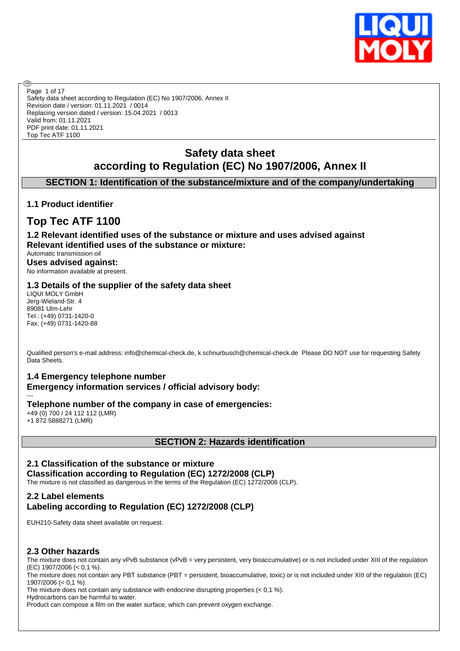

Safety data sheet according to Regulation (EC) No 1907/2006, Annex II Revision date / version: 01.11.2021 / 0014 Replacing version dated / version: 15.04.2021 / 0013 Valid from: 01.11.2021 PDF print date: 01.11.2021 Top Tec ATF 1100 Page 1 of 17

# **Safety data sheet according to Regulation (EC) No 1907/2006, Annex II**

### **SECTION 1: Identification of the substance/mixture and of the company/undertaking**

### **1.1 Product identifier**

൹

# **Top Tec ATF 1100**

**1.2 Relevant identified uses of the substance or mixture and uses advised against Relevant identified uses of the substance or mixture:**

Automatic transmission oil **Uses advised against:** No information available at present.

#### **1.3 Details of the supplier of the safety data sheet**

LIQUI MOLY GmbH Jerg-Wieland-Str. 4 89081 Ulm-Lehr Tel.: (+49) 0731-1420-0 Fax: (+49) 0731-1420-88

Qualified person's e-mail address: info@chemical-check.de, k.schnurbusch@chemical-check.de Please DO NOT use for requesting Safety Data Sheets.

### **1.4 Emergency telephone number**

**Emergency information services / official advisory body:**

#### --- **Telephone number of the company in case of emergencies:**

+49 (0) 700 / 24 112 112 (LMR) +1 872 5888271 (LMR)

#### **SECTION 2: Hazards identification**

### **2.1 Classification of the substance or mixture**

**Classification according to Regulation (EC) 1272/2008 (CLP)** The mixture is not classified as dangerous in the terms of the Regulation (EC) 1272/2008 (CLP).

### **2.2 Label elements Labeling according to Regulation (EC) 1272/2008 (CLP)**

EUH210-Safety data sheet available on request.

### **2.3 Other hazards**

The mixture does not contain any vPvB substance (vPvB = very persistent, very bioaccumulative) or is not included under XIII of the regulation (EC) 1907/2006 (< 0,1 %).

The mixture does not contain any PBT substance (PBT = persistent, bioaccumulative, toxic) or is not included under XIII of the regulation (EC) 1907/2006 (< 0,1 %).

The mixture does not contain any substance with endocrine disrupting properties  $(< 0.1 %$ ).

Hydrocarbons can be harmful to water.

Product can compose a film on the water surface, which can prevent oxygen exchange.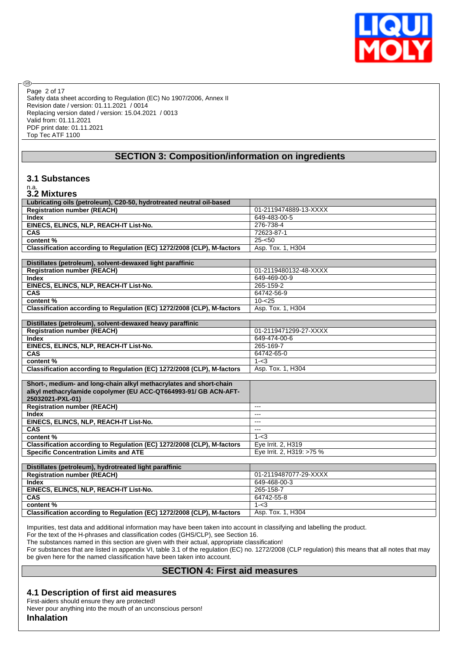

Safety data sheet according to Regulation (EC) No 1907/2006, Annex II Revision date / version: 01.11.2021 / 0014 Replacing version dated / version: 15.04.2021 / 0013 Valid from: 01.11.2021 PDF print date: 01.11.2021 Top Tec ATF 1100 Page 2 of 17

#### **SECTION 3: Composition/information on ingredients**

#### **3.1 Substances**

# n.a. **3.2 Mixtures**

**®** 

| Lubricating oils (petroleum), C20-50, hydrotreated neutral oil-based   |                           |
|------------------------------------------------------------------------|---------------------------|
| <b>Registration number (REACH)</b>                                     | 01-2119474889-13-XXXX     |
| <b>Index</b>                                                           | 649-483-00-5              |
| EINECS, ELINCS, NLP, REACH-IT List-No.                                 | 276-738-4                 |
| CAS                                                                    | 72623-87-1                |
| content %                                                              | $25 - 50$                 |
| Classification according to Regulation (EC) 1272/2008 (CLP), M-factors | Asp. Tox. 1, H304         |
|                                                                        |                           |
| Distillates (petroleum), solvent-dewaxed light paraffinic              |                           |
| <b>Registration number (REACH)</b>                                     | 01-2119480132-48-XXXX     |
| <b>Index</b>                                                           | 649-469-00-9              |
| EINECS, ELINCS, NLP, REACH-IT List-No.                                 | 265-159-2                 |
| CAS                                                                    | 64742-56-9                |
| content %                                                              | $10 - 25$                 |
| Classification according to Regulation (EC) 1272/2008 (CLP), M-factors | Asp. Tox. 1, H304         |
|                                                                        |                           |
| Distillates (petroleum), solvent-dewaxed heavy paraffinic              |                           |
| <b>Registration number (REACH)</b>                                     | 01-2119471299-27-XXXX     |
| <b>Index</b>                                                           | 649-474-00-6              |
| EINECS, ELINCS, NLP, REACH-IT List-No.                                 | 265-169-7                 |
| CAS                                                                    | 64742-65-0                |
| content %                                                              | $1 - < 3$                 |
| Classification according to Regulation (EC) 1272/2008 (CLP), M-factors | Asp. Tox. 1, H304         |
|                                                                        |                           |
| Short-, medium- and long-chain alkyl methacrylates and short-chain     |                           |
| alkyl methacrylamide copolymer (EU ACC-QT664993-91/ GB ACN-AFT-        |                           |
| 25032021-PXL-01)                                                       |                           |
| <b>Registration number (REACH)</b>                                     | $---$                     |
| <b>Index</b>                                                           | $---$                     |
| EINECS, ELINCS, NLP, REACH-IT List-No.                                 | $---$                     |
| CAS                                                                    | $---$                     |
| content %                                                              | $1 - < 3$                 |
| Classification according to Regulation (EC) 1272/2008 (CLP), M-factors | Eye Irrit. 2, H319        |
| <b>Specific Concentration Limits and ATE</b>                           | Eye Irrit. 2, H319: >75 % |
|                                                                        |                           |
| Distillates (petroleum), hydrotreated light paraffinic                 |                           |
| <b>Registration number (REACH)</b>                                     | 01-2119487077-29-XXXX     |
| <b>Index</b>                                                           | 649-468-00-3              |
| EINECS, ELINCS, NLP, REACH-IT List-No.                                 | 265-158-7                 |
| CAS                                                                    | 64742-55-8                |
| content %                                                              | $1 - < 3$                 |
| Classification according to Regulation (EC) 1272/2008 (CLP), M-factors | Asp. Tox. 1, H304         |
|                                                                        |                           |

Impurities, test data and additional information may have been taken into account in classifying and labelling the product.

For the text of the H-phrases and classification codes (GHS/CLP), see Section 16.

The substances named in this section are given with their actual, appropriate classification!

For substances that are listed in appendix VI, table 3.1 of the regulation (EC) no. 1272/2008 (CLP regulation) this means that all notes that may be given here for the named classification have been taken into account.

### **SECTION 4: First aid measures**

#### **4.1 Description of first aid measures**

First-aiders should ensure they are protected! Never pour anything into the mouth of an unconscious person!

**Inhalation**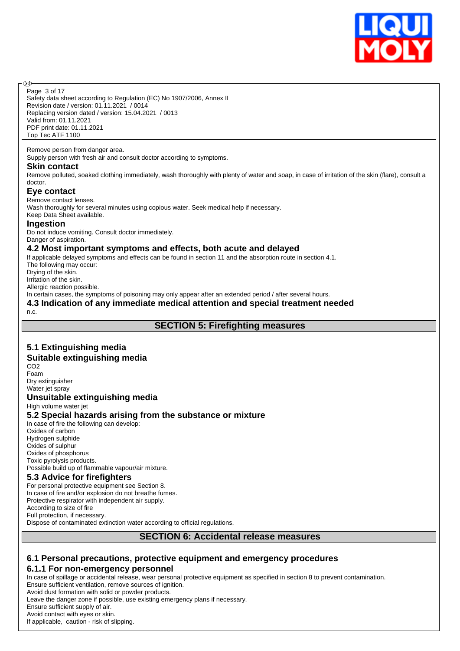

Page 3 of 17

൹

Safety data sheet according to Regulation (EC) No 1907/2006, Annex II Revision date / version: 01.11.2021 / 0014 Replacing version dated / version: 15.04.2021 / 0013 Valid from: 01.11.2021 PDF print date: 01.11.2021 Top Tec ATF 1100

#### Remove person from danger area.

Supply person with fresh air and consult doctor according to symptoms.

#### **Skin contact**

Remove polluted, soaked clothing immediately, wash thoroughly with plenty of water and soap, in case of irritation of the skin (flare), consult a doctor.

#### **Eye contact**

Remove contact lenses.

Wash thoroughly for several minutes using copious water. Seek medical help if necessary. Keep Data Sheet available.

#### **Ingestion**

Do not induce vomiting. Consult doctor immediately. Danger of aspiration.

#### **4.2 Most important symptoms and effects, both acute and delayed**

If applicable delayed symptoms and effects can be found in section 11 and the absorption route in section 4.1. The following may occur: Drying of the skin. Irritation of the skin. Allergic reaction possible.

In certain cases, the symptoms of poisoning may only appear after an extended period / after several hours.

# **4.3 Indication of any immediate medical attention and special treatment needed**

n.c.

#### **SECTION 5: Firefighting measures**

### **5.1 Extinguishing media**

#### **Suitable extinguishing media**

CO2 Foam Dry extinguisher Water jet spray

#### **Unsuitable extinguishing media**

High volume water jet

#### **5.2 Special hazards arising from the substance or mixture**

In case of fire the following can develop: Oxides of carbon Hydrogen sulphide Oxides of sulphur Oxides of phosphorus Toxic pyrolysis products.

Possible build up of flammable vapour/air mixture.

#### **5.3 Advice for firefighters**

For personal protective equipment see Section 8. In case of fire and/or explosion do not breathe fumes. Protective respirator with independent air supply. According to size of fire Full protection, if necessary. Dispose of contaminated extinction water according to official regulations.

#### **SECTION 6: Accidental release measures**

#### **6.1 Personal precautions, protective equipment and emergency procedures 6.1.1 For non-emergency personnel**

In case of spillage or accidental release, wear personal protective equipment as specified in section 8 to prevent contamination. Ensure sufficient ventilation, remove sources of ignition.

Avoid dust formation with solid or powder products.

Leave the danger zone if possible, use existing emergency plans if necessary.

Ensure sufficient supply of air.

Avoid contact with eyes or skin.

If applicable, caution - risk of slipping.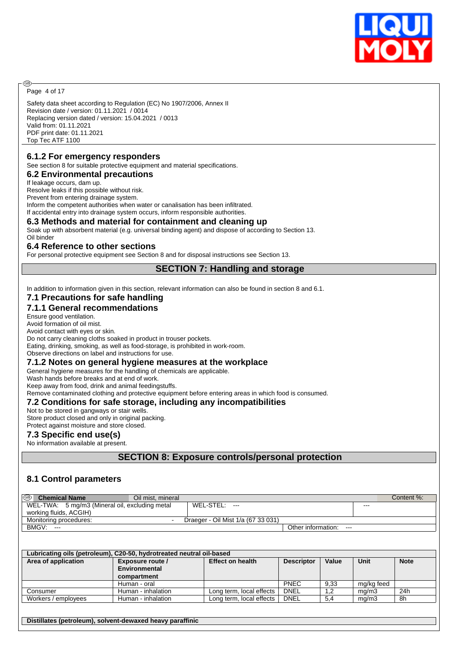

Page 4 of 17

ඹ

Safety data sheet according to Regulation (EC) No 1907/2006, Annex II Revision date / version: 01.11.2021 / 0014 Replacing version dated / version: 15.04.2021 / 0013 Valid from: 01.11.2021 PDF print date: 01.11.2021 Top Tec ATF 1100

#### **6.1.2 For emergency responders**

See section 8 for suitable protective equipment and material specifications.

**6.2 Environmental precautions**

If leakage occurs, dam up.

Resolve leaks if this possible without risk.

Prevent from entering drainage system.

Inform the competent authorities when water or canalisation has been infiltrated.

If accidental entry into drainage system occurs, inform responsible authorities.

#### **6.3 Methods and material for containment and cleaning up**

Soak up with absorbent material (e.g. universal binding agent) and dispose of according to Section 13. Oil binder

#### **6.4 Reference to other sections**

For personal protective equipment see Section 8 and for disposal instructions see Section 13.

#### **SECTION 7: Handling and storage**

In addition to information given in this section, relevant information can also be found in section 8 and 6.1.

### **7.1 Precautions for safe handling**

#### **7.1.1 General recommendations**

Ensure good ventilation.

Avoid formation of oil mist.

Avoid contact with eyes or skin. Do not carry cleaning cloths soaked in product in trouser pockets.

Eating, drinking, smoking, as well as food-storage, is prohibited in work-room.

Observe directions on label and instructions for use.

### **7.1.2 Notes on general hygiene measures at the workplace**

General hygiene measures for the handling of chemicals are applicable.

Wash hands before breaks and at end of work.

Keep away from food, drink and animal feedingstuffs.

Remove contaminated clothing and protective equipment before entering areas in which food is consumed.

#### **7.2 Conditions for safe storage, including any incompatibilities**

Not to be stored in gangways or stair wells.

Store product closed and only in original packing. Protect against moisture and store closed.

### **7.3 Specific end use(s)**

No information available at present.

**SECTION 8: Exposure controls/personal protection**

### **8.1 Control parameters**

| ை<br><b>Chemical Name</b><br>Oil mist, mineral |                                    |                             | Content %: |
|------------------------------------------------|------------------------------------|-----------------------------|------------|
| WEL-TWA: 5 mg/m3 (Mineral oil, excluding metal | WEL-STEL:<br>---                   | ---                         |            |
| working fluids, ACGIH)                         |                                    |                             |            |
| Monitoring procedures:                         | Draeger - Oil Mist 1/a (67 33 031) |                             |            |
| BMGV:<br>$- - -$                               |                                    | Other information:<br>$---$ |            |

| Lubricating oils (petroleum), C20-50, hydrotreated neutral oil-based |                    |                          |                   |       |            |             |  |  |  |
|----------------------------------------------------------------------|--------------------|--------------------------|-------------------|-------|------------|-------------|--|--|--|
| Area of application                                                  | Exposure route /   | <b>Effect on health</b>  | <b>Descriptor</b> | Value | Unit       | <b>Note</b> |  |  |  |
|                                                                      | Environmental      |                          |                   |       |            |             |  |  |  |
|                                                                      | compartment        |                          |                   |       |            |             |  |  |  |
|                                                                      | Human - oral       |                          | <b>PNEC</b>       | 9.33  | mg/kg feed |             |  |  |  |
| Consumer                                                             | Human - inhalation | Long term, local effects | DNEL              | 1.2   | ma/m3      | 24h         |  |  |  |
| Workers / employees                                                  | Human - inhalation | Long term, local effects | DNEL              | 5.4   | mq/m3      | 8h          |  |  |  |
|                                                                      |                    |                          |                   |       |            |             |  |  |  |

**Distillates (petroleum), solvent-dewaxed heavy paraffinic**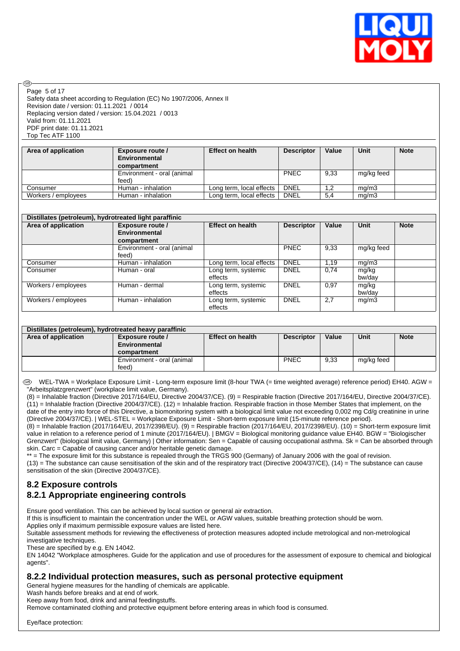

Page 5 of 17

അ

Safety data sheet according to Regulation (EC) No 1907/2006, Annex II Revision date / version: 01.11.2021 / 0014 Replacing version dated / version: 15.04.2021 / 0013 Valid from: 01.11.2021 PDF print date: 01.11.2021 Top Tec ATF 1100

| Area of application | Exposure route /<br><b>Environmental</b><br>compartment | <b>Effect on health</b>  | <b>Descriptor</b> | Value | Unit       | <b>Note</b> |
|---------------------|---------------------------------------------------------|--------------------------|-------------------|-------|------------|-------------|
|                     | Environment - oral (animal<br>feed)                     |                          | <b>PNEC</b>       | 9.33  | mg/kg feed |             |
| Consumer            | Human - inhalation                                      | Long term, local effects | <b>DNEL</b>       | 1.2   | mq/m3      |             |
| Workers / employees | Human - inhalation                                      | Long term, local effects | DNEL              | 5,4   | mg/m3      |             |

| Distillates (petroleum), hydrotreated light paraffinic |                                     |                                |                   |       |                 |             |  |  |
|--------------------------------------------------------|-------------------------------------|--------------------------------|-------------------|-------|-----------------|-------------|--|--|
| Area of application                                    | Exposure route /                    | <b>Effect on health</b>        | <b>Descriptor</b> | Value | <b>Unit</b>     | <b>Note</b> |  |  |
|                                                        | Environmental                       |                                |                   |       |                 |             |  |  |
|                                                        | compartment                         |                                |                   |       |                 |             |  |  |
|                                                        | Environment - oral (animal<br>feed) |                                | <b>PNEC</b>       | 9.33  | mg/kg feed      |             |  |  |
| Consumer                                               | Human - inhalation                  | Long term, local effects       | <b>DNEL</b>       | 1.19  | mg/m3           |             |  |  |
| Consumer                                               | Human - oral                        | Long term, systemic<br>effects | <b>DNEL</b>       | 0.74  | mg/kg<br>bw/day |             |  |  |
| Workers / employees                                    | Human - dermal                      | Long term, systemic<br>effects | <b>DNEL</b>       | 0.97  | mg/kg<br>bw/day |             |  |  |
| Workers / employees                                    | Human - inhalation                  | Long term, systemic<br>effects | <b>DNEL</b>       | 2,7   | mg/m3           |             |  |  |

| Distillates (petroleum), hydrotreated heavy paraffinic |                                                                                                         |  |             |      |            |  |  |  |  |
|--------------------------------------------------------|---------------------------------------------------------------------------------------------------------|--|-------------|------|------------|--|--|--|--|
| Area of application                                    | <b>Unit</b><br>Value<br><b>Note</b><br><b>Effect on health</b><br><b>Descriptor</b><br>Exposure route / |  |             |      |            |  |  |  |  |
|                                                        | Environmental                                                                                           |  |             |      |            |  |  |  |  |
|                                                        | compartment                                                                                             |  |             |      |            |  |  |  |  |
|                                                        | Environment - oral (animal                                                                              |  | <b>PNEC</b> | 9,33 | mg/kg feed |  |  |  |  |
|                                                        | feed)                                                                                                   |  |             |      |            |  |  |  |  |

WEL-TWA = Workplace Exposure Limit - Long-term exposure limit (8-hour TWA (= time weighted average) reference period) EH40. AGW = "Arbeitsplatzgrenzwert" (workplace limit value, Germany).

(8) = Inhalable fraction (Directive 2017/164/EU, Directive 2004/37/CE). (9) = Respirable fraction (Directive 2017/164/EU, Directive 2004/37/CE).  $(11)$  = Inhalable fraction (Directive 2004/37/CE). (12) = Inhalable fraction. Respirable fraction in those Member States that implement, on the date of the entry into force of this Directive, a biomonitoring system with a biological limit value not exceeding 0,002 mg Cd/g creatinine in urine (Directive 2004/37/CE). | WEL-STEL = Workplace Exposure Limit - Short-term exposure limit (15-minute reference period).

(8) = Inhalable fraction (2017/164/EU, 2017/2398/EU). (9) = Respirable fraction (2017/164/EU, 2017/2398/EU). (10) = Short-term exposure limit value in relation to a reference period of 1 minute (2017/164/EU). | BMGV = Biological monitoring guidance value EH40. BGW = "Biologischer Grenzwert" (biological limit value, Germany) | Other information: Sen = Capable of causing occupational asthma. Sk = Can be absorbed through skin. Carc = Capable of causing cancer and/or heritable genetic damage.

\*\* = The exposure limit for this substance is repealed through the TRGS 900 (Germany) of January 2006 with the goal of revision.

(13) = The substance can cause sensitisation of the skin and of the respiratory tract (Directive 2004/37/CE), (14) = The substance can cause sensitisation of the skin (Directive 2004/37/CE).

### **8.2 Exposure controls**

### **8.2.1 Appropriate engineering controls**

Ensure good ventilation. This can be achieved by local suction or general air extraction.

If this is insufficient to maintain the concentration under the WEL or AGW values, suitable breathing protection should be worn.

Applies only if maximum permissible exposure values are listed here.

Suitable assessment methods for reviewing the effectiveness of protection measures adopted include metrological and non-metrological investigative techniques.

These are specified by e.g. EN 14042.

EN 14042 "Workplace atmospheres. Guide for the application and use of procedures for the assessment of exposure to chemical and biological agents".

#### **8.2.2 Individual protection measures, such as personal protective equipment**

General hygiene measures for the handling of chemicals are applicable.

Wash hands before breaks and at end of work.

Keep away from food, drink and animal feedingstuffs.

Remove contaminated clothing and protective equipment before entering areas in which food is consumed.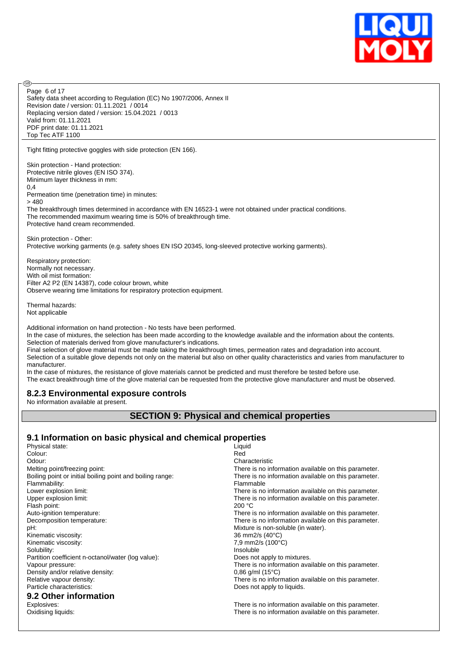

Safety data sheet according to Regulation (EC) No 1907/2006, Annex II Revision date / version: 01.11.2021 / 0014 Replacing version dated / version: 15.04.2021 / 0013 Valid from: 01.11.2021 PDF print date: 01.11.2021 Top Tec ATF 1100 Page 6 of 17

Tight fitting protective goggles with side protection (EN 166).

Skin protection - Hand protection: Protective nitrile gloves (EN ISO 374). Minimum layer thickness in mm: 0,4 Permeation time (penetration time) in minutes: > 480

The breakthrough times determined in accordance with EN 16523-1 were not obtained under practical conditions. The recommended maximum wearing time is 50% of breakthrough time. Protective hand cream recommended.

Skin protection - Other: Protective working garments (e.g. safety shoes EN ISO 20345, long-sleeved protective working garments).

Respiratory protection: Normally not necessary. With oil mist formation: Filter A2 P2 (EN 14387), code colour brown, white Observe wearing time limitations for respiratory protection equipment.

Thermal hazards: Not applicable

൹

Additional information on hand protection - No tests have been performed.

In the case of mixtures, the selection has been made according to the knowledge available and the information about the contents. Selection of materials derived from glove manufacturer's indications.

Final selection of glove material must be made taking the breakthrough times, permeation rates and degradation into account. Selection of a suitable glove depends not only on the material but also on other quality characteristics and varies from manufacturer to manufacturer.

In the case of mixtures, the resistance of glove materials cannot be predicted and must therefore be tested before use. The exact breakthrough time of the glove material can be requested from the protective glove manufacturer and must be observed.

#### **8.2.3 Environmental exposure controls**

No information available at present.

### **SECTION 9: Physical and chemical properties**

### **9.1 Information on basic physical and chemical properties**

| Physical state:                                           | Liquid                                               |
|-----------------------------------------------------------|------------------------------------------------------|
| Colour:                                                   | Red                                                  |
| Odour:                                                    | Characteristic                                       |
| Melting point/freezing point:                             | There is no information available on this parameter. |
| Boiling point or initial boiling point and boiling range: | There is no information available on this parameter. |
| Flammability:                                             | Flammable                                            |
| Lower explosion limit:                                    | There is no information available on this parameter. |
| Upper explosion limit:                                    | There is no information available on this parameter. |
| Flash point:                                              | 200 °C                                               |
| Auto-ignition temperature:                                | There is no information available on this parameter. |
| Decomposition temperature:                                | There is no information available on this parameter. |
| pH:                                                       | Mixture is non-soluble (in water).                   |
| Kinematic viscosity:                                      | 36 mm2/s (40°C)                                      |
| Kinematic viscosity:                                      | 7,9 mm2/s (100°C)                                    |
| Solubility:                                               | Insoluble                                            |
| Partition coefficient n-octanol/water (log value):        | Does not apply to mixtures.                          |
| Vapour pressure:                                          | There is no information available on this parameter. |
| Density and/or relative density:                          | $0.86$ g/ml (15 $^{\circ}$ C)                        |
| Relative vapour density:                                  | There is no information available on this parameter. |
| Particle characteristics:                                 | Does not apply to liquids.                           |
| 9.2 Other information                                     |                                                      |
| Explosives:                                               | There is no information available on this parameter. |
| Oxidising liquids:                                        | There is no information available on this parameter. |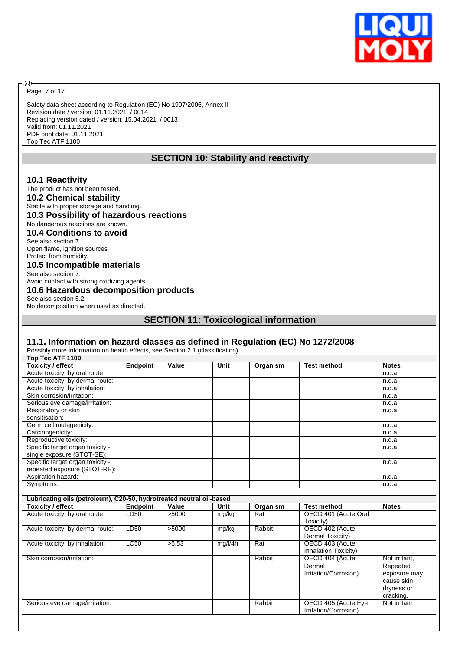

Page 7 of 17

**®** 

Safety data sheet according to Regulation (EC) No 1907/2006, Annex II Revision date / version: 01.11.2021 / 0014 Replacing version dated / version: 15.04.2021 / 0013 Valid from: 01.11.2021 PDF print date: 01.11.2021 Top Tec ATF 1100

## **SECTION 10: Stability and reactivity**

#### **10.1 Reactivity**

#### The product has not been tested.

**10.2 Chemical stability**

# Stable with proper storage and handling.

### **10.3 Possibility of hazardous reactions**

No dangerous reactions are known.

#### **10.4 Conditions to avoid** See also section 7.

Open flame, ignition sources Protect from humidity.

#### **10.5 Incompatible materials**

See also section 7. Avoid contact with strong oxidizing agents.

#### **10.6 Hazardous decomposition products** See also section 5.2

No decomposition when used as directed.

#### **SECTION 11: Toxicological information**

#### **11.1. Information on hazard classes as defined in Regulation (EC) No 1272/2008**

| Possibly more information on health effects, see Section 2.1 (classification). |                 |       |         |                  |                       |               |
|--------------------------------------------------------------------------------|-----------------|-------|---------|------------------|-----------------------|---------------|
| Top Tec ATF 1100                                                               |                 |       |         |                  |                       |               |
| <b>Toxicity / effect</b>                                                       | <b>Endpoint</b> | Value | Unit    | Organism         | <b>Test method</b>    | <b>Notes</b>  |
| Acute toxicity, by oral route:                                                 |                 |       |         |                  |                       | n.d.a.        |
| Acute toxicity, by dermal route:                                               |                 |       |         |                  |                       | n.d.a.        |
| Acute toxicity, by inhalation:                                                 |                 |       |         |                  |                       | n.d.a.        |
| Skin corrosion/irritation:                                                     |                 |       |         |                  |                       | n.d.a.        |
| Serious eye damage/irritation:                                                 |                 |       |         |                  |                       | n.d.a.        |
| Respiratory or skin                                                            |                 |       |         |                  |                       | n.d.a.        |
| sensitisation:                                                                 |                 |       |         |                  |                       |               |
| Germ cell mutagenicity:                                                        |                 |       |         |                  |                       | n.d.a.        |
| Carcinogenicity:                                                               |                 |       |         |                  |                       | n.d.a.        |
| Reproductive toxicity:                                                         |                 |       |         |                  |                       | n.d.a.        |
| Specific target organ toxicity -                                               |                 |       |         |                  |                       | n.d.a.        |
| single exposure (STOT-SE):                                                     |                 |       |         |                  |                       |               |
| Specific target organ toxicity -                                               |                 |       |         |                  |                       | n.d.a.        |
| repeated exposure (STOT-RE):                                                   |                 |       |         |                  |                       |               |
| Aspiration hazard:                                                             |                 |       |         |                  |                       | n.d.a.        |
| Symptoms:                                                                      |                 |       |         |                  |                       | n.d.a.        |
|                                                                                |                 |       |         |                  |                       |               |
| Lubricating oils (petroleum), C20-50, hydrotreated neutral oil-based           |                 |       |         |                  |                       |               |
| <b>Toxicity / effect</b>                                                       | <b>Endpoint</b> | Value | Unit    | Organism         | <b>Test method</b>    | <b>Notes</b>  |
| Acute toxicity, by oral route:                                                 | LD50            | >5000 | mg/kg   | Rat              | OECD 401 (Acute Oral  |               |
|                                                                                |                 |       |         |                  | Toxicity)             |               |
| Acute toxicity, by dermal route:                                               | LD50            | >5000 | mg/kg   | Rabbit           | OECD 402 (Acute       |               |
|                                                                                |                 |       |         |                  | Dermal Toxicity)      |               |
| Acute toxicity, by inhalation:                                                 | <b>LC50</b>     | >5.53 | mg/l/4h | $\overline{Rat}$ | OECD 403 (Acute       |               |
|                                                                                |                 |       |         |                  | Inhalation Toxicity)  |               |
| Skin corrosion/irritation:                                                     |                 |       |         | Rabbit           | OECD 404 (Acute       | Not irritant. |
|                                                                                |                 |       |         |                  | Dermal                | Repeated      |
|                                                                                |                 |       |         |                  | Irritation/Corrosion) | exposure may  |
|                                                                                |                 |       |         |                  |                       | cause skin    |
|                                                                                |                 |       |         |                  |                       | dryness or    |
|                                                                                |                 |       |         |                  |                       | cracking.     |
|                                                                                |                 |       |         | Rabbit           | OECD 405 (Acute Eye   | Not irritant  |
| Serious eye damage/irritation:                                                 |                 |       |         |                  | Irritation/Corrosion) |               |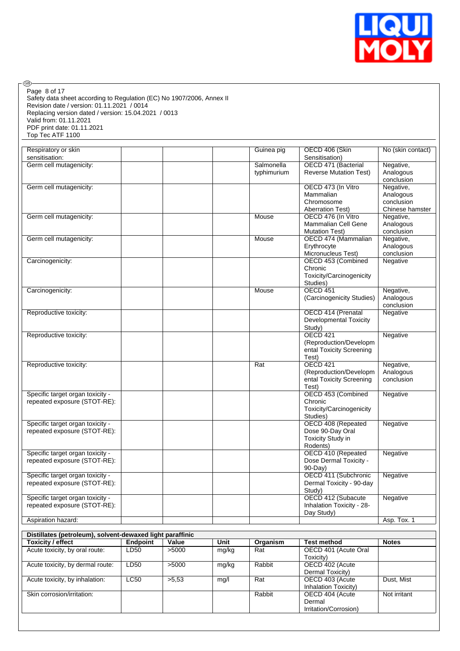

Safety data sheet according to Regulation (EC) No 1907/2006, Annex II Revision date / version: 01.11.2021 / 0014 Replacing version dated / version: 15.04.2021 / 0013 Valid from: 01.11.2021 PDF print date: 01.11.2021 Top Tec ATF 1100 Page 8 of 17

 $\circledcirc$ 

| Respiratory or skin              | Guinea pig  | OECD 406 (Skin                | No (skin contact) |
|----------------------------------|-------------|-------------------------------|-------------------|
| sensitisation:                   |             | Sensitisation)                |                   |
| Germ cell mutagenicity:          | Salmonella  | OECD 471 (Bacterial           | Negative,         |
|                                  | typhimurium | <b>Reverse Mutation Test)</b> | Analogous         |
|                                  |             |                               | conclusion        |
| Germ cell mutagenicity:          |             | OECD 473 (In Vitro            | Negative,         |
|                                  |             | Mammalian                     | Analogous         |
|                                  |             | Chromosome                    | conclusion        |
|                                  |             | <b>Aberration Test)</b>       | Chinese hamster   |
| Germ cell mutagenicity:          | Mouse       | OECD 476 (In Vitro            | Negative,         |
|                                  |             | <b>Mammalian Cell Gene</b>    | Analogous         |
|                                  |             | <b>Mutation Test)</b>         | conclusion        |
| Germ cell mutagenicity:          | Mouse       | OECD 474 (Mammalian           | Negative,         |
|                                  |             |                               |                   |
|                                  |             | Erythrocyte                   | Analogous         |
|                                  |             | Micronucleus Test)            | conclusion        |
| Carcinogenicity:                 |             | OECD 453 (Combined            | Negative          |
|                                  |             | Chronic                       |                   |
|                                  |             | Toxicity/Carcinogenicity      |                   |
|                                  |             | Studies)                      |                   |
| Carcinogenicity:                 | Mouse       | <b>OECD 451</b>               | Negative,         |
|                                  |             | (Carcinogenicity Studies)     | Analogous         |
|                                  |             |                               | conclusion        |
| Reproductive toxicity:           |             | OECD 414 (Prenatal            | Negative          |
|                                  |             | Developmental Toxicity        |                   |
|                                  |             | Study)                        |                   |
|                                  |             |                               |                   |
| Reproductive toxicity:           |             | OECD 421                      | Negative          |
|                                  |             | (Reproduction/Developm        |                   |
|                                  |             | ental Toxicity Screening      |                   |
|                                  |             | Test)                         |                   |
| Reproductive toxicity:           | Rat         | <b>OECD 421</b>               | Negative,         |
|                                  |             | (Reproduction/Developm        | Analogous         |
|                                  |             | ental Toxicity Screening      | conclusion        |
|                                  |             | Test)                         |                   |
| Specific target organ toxicity - |             | OECD 453 (Combined            | Negative          |
| repeated exposure (STOT-RE):     |             | Chronic                       |                   |
|                                  |             | Toxicity/Carcinogenicity      |                   |
|                                  |             | Studies)                      |                   |
| Specific target organ toxicity - |             | OECD 408 (Repeated            | Negative          |
| repeated exposure (STOT-RE):     |             | Dose 90-Day Oral              |                   |
|                                  |             | Toxicity Study in             |                   |
|                                  |             |                               |                   |
|                                  |             | Rodents)                      |                   |
| Specific target organ toxicity - |             | OECD 410 (Repeated            | Negative          |
| repeated exposure (STOT-RE):     |             | Dose Dermal Toxicity -        |                   |
|                                  |             | 90-Day)                       |                   |
| Specific target organ toxicity - |             | OECD 411 (Subchronic          | Negative          |
| repeated exposure (STOT-RE):     |             | Dermal Toxicity - 90-day      |                   |
|                                  |             | Study)                        |                   |
| Specific target organ toxicity - |             | OECD 412 (Subacute            | Negative          |
| repeated exposure (STOT-RE):     |             | Inhalation Toxicity - 28-     |                   |
|                                  |             |                               |                   |
|                                  |             | Day Study)                    |                   |

| Distillates (petroleum), solvent-dewaxed light paraffinic |                 |       |       |          |                       |              |  |  |
|-----------------------------------------------------------|-----------------|-------|-------|----------|-----------------------|--------------|--|--|
| Toxicity / effect                                         | <b>Endpoint</b> | Value | Unit  | Organism | <b>Test method</b>    | <b>Notes</b> |  |  |
| Acute toxicity, by oral route:                            | LD50            | >5000 | mg/kg | Rat      | OECD 401 (Acute Oral  |              |  |  |
|                                                           |                 |       |       |          | Toxicity)             |              |  |  |
| Acute toxicity, by dermal route:                          | LD50            | >5000 | mg/kg | Rabbit   | OECD 402 (Acute       |              |  |  |
|                                                           |                 |       |       |          | Dermal Toxicity)      |              |  |  |
| Acute toxicity, by inhalation:                            | LC50            | >5.53 | mg/l  | Rat      | OECD 403 (Acute       | Dust, Mist   |  |  |
|                                                           |                 |       |       |          | Inhalation Toxicity)  |              |  |  |
| Skin corrosion/irritation:                                |                 |       |       | Rabbit   | OECD 404 (Acute       | Not irritant |  |  |
|                                                           |                 |       |       |          | Dermal                |              |  |  |
|                                                           |                 |       |       |          | Irritation/Corrosion) |              |  |  |
|                                                           |                 |       |       |          |                       |              |  |  |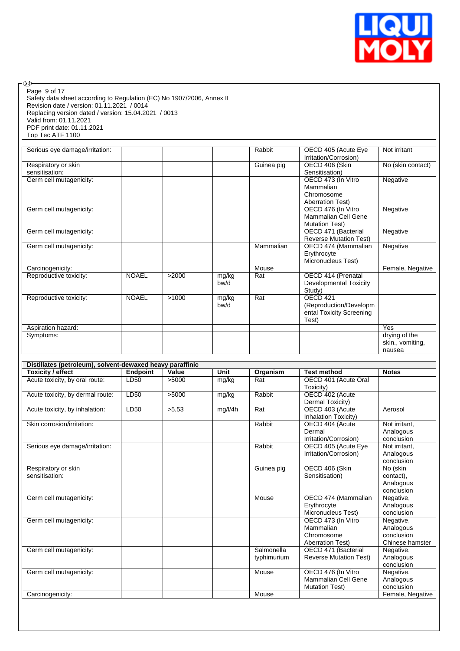

Safety data sheet according to Regulation (EC) No 1907/2006, Annex II Revision date / version: 01.11.2021 / 0014 Replacing version dated / version: 15.04.2021 / 0013 Valid from: 01.11.2021 PDF print date: 01.11.2021 Top Tec ATF 1100 Page 9 of 17

 $\circledcirc$ 

| Serious eye damage/irritation: |              |       |       | Rabbit     | OECD 405 (Acute Eye           | Not irritant      |
|--------------------------------|--------------|-------|-------|------------|-------------------------------|-------------------|
|                                |              |       |       |            | Irritation/Corrosion)         |                   |
| Respiratory or skin            |              |       |       | Guinea pig | OECD 406 (Skin                | No (skin contact) |
| sensitisation:                 |              |       |       |            | Sensitisation)                |                   |
| Germ cell mutagenicity:        |              |       |       |            | OECD 473 (In Vitro            | Negative          |
|                                |              |       |       |            | Mammalian                     |                   |
|                                |              |       |       |            | Chromosome                    |                   |
|                                |              |       |       |            | <b>Aberration Test)</b>       |                   |
| Germ cell mutagenicity:        |              |       |       |            | OECD 476 (In Vitro            | Negative          |
|                                |              |       |       |            | <b>Mammalian Cell Gene</b>    |                   |
|                                |              |       |       |            | <b>Mutation Test)</b>         |                   |
| Germ cell mutagenicity:        |              |       |       |            | OECD 471 (Bacterial           | Negative          |
|                                |              |       |       |            | <b>Reverse Mutation Test)</b> |                   |
| Germ cell mutagenicity:        |              |       |       | Mammalian  | OECD 474 (Mammalian           | Negative          |
|                                |              |       |       |            | Erythrocyte                   |                   |
|                                |              |       |       |            | Micronucleus Test)            |                   |
| Carcinogenicity:               |              |       |       | Mouse      |                               | Female, Negative  |
| Reproductive toxicity:         | <b>NOAEL</b> | >2000 | mg/kg | Rat        | OECD 414 (Prenatal            |                   |
|                                |              |       | bw/d  |            | <b>Developmental Toxicity</b> |                   |
|                                |              |       |       |            | Study)                        |                   |
| Reproductive toxicity:         | <b>NOAEL</b> | >1000 | mg/kg | Rat        | OECD <sub>421</sub>           |                   |
|                                |              |       | bw/d  |            | (Reproduction/Developm)       |                   |
|                                |              |       |       |            | ental Toxicity Screening      |                   |
|                                |              |       |       |            | Test)                         |                   |
| Aspiration hazard:             |              |       |       |            |                               | Yes               |
| Symptoms:                      |              |       |       |            |                               | drying of the     |
|                                |              |       |       |            |                               | skin., vomiting,  |
|                                |              |       |       |            |                               | nausea            |

| Distillates (petroleum), solvent-dewaxed heavy paraffinic |                 |       |         |             |                               |                  |  |
|-----------------------------------------------------------|-----------------|-------|---------|-------------|-------------------------------|------------------|--|
| Toxicity / effect                                         | <b>Endpoint</b> | Value | Unit    | Organism    | <b>Test method</b>            | <b>Notes</b>     |  |
| Acute toxicity, by oral route:                            | LD50            | >5000 | mg/kg   | Rat         | OECD 401 (Acute Oral          |                  |  |
|                                                           |                 |       |         |             | Toxicity)                     |                  |  |
| Acute toxicity, by dermal route:                          | LD50            | >5000 | mg/kg   | Rabbit      | OECD 402 (Acute               |                  |  |
|                                                           |                 |       |         |             | Dermal Toxicity)              |                  |  |
| Acute toxicity, by inhalation:                            | LD50            | >5.53 | mg/l/4h | Rat         | OECD 403 (Acute               | Aerosol          |  |
|                                                           |                 |       |         |             | Inhalation Toxicity)          |                  |  |
| Skin corrosion/irritation:                                |                 |       |         | Rabbit      | OECD 404 (Acute               | Not irritant.    |  |
|                                                           |                 |       |         |             | Dermal                        | Analogous        |  |
|                                                           |                 |       |         |             | Irritation/Corrosion)         | conclusion       |  |
| Serious eye damage/irritation:                            |                 |       |         | Rabbit      | OECD 405 (Acute Eye           | Not irritant,    |  |
|                                                           |                 |       |         |             | Irritation/Corrosion)         | Analogous        |  |
|                                                           |                 |       |         |             |                               | conclusion       |  |
| Respiratory or skin                                       |                 |       |         | Guinea pig  | OECD 406 (Skin                | No (skin         |  |
| sensitisation:                                            |                 |       |         |             | Sensitisation)                | contact).        |  |
|                                                           |                 |       |         |             |                               | Analogous        |  |
|                                                           |                 |       |         |             |                               | conclusion       |  |
| Germ cell mutagenicity:                                   |                 |       |         | Mouse       | OECD 474 (Mammalian           | Negative,        |  |
|                                                           |                 |       |         |             | Erythrocyte                   | Analogous        |  |
|                                                           |                 |       |         |             | Micronucleus Test)            | conclusion       |  |
| Germ cell mutagenicity:                                   |                 |       |         |             | OECD 473 (In Vitro            | Negative,        |  |
|                                                           |                 |       |         |             | Mammalian                     | Analogous        |  |
|                                                           |                 |       |         |             | Chromosome                    | conclusion       |  |
|                                                           |                 |       |         |             | <b>Aberration Test)</b>       | Chinese hamster  |  |
| Germ cell mutagenicity:                                   |                 |       |         | Salmonella  | OECD 471 (Bacterial           | Negative,        |  |
|                                                           |                 |       |         | typhimurium | <b>Reverse Mutation Test)</b> | Analogous        |  |
|                                                           |                 |       |         |             |                               | conclusion       |  |
| Germ cell mutagenicity:                                   |                 |       |         | Mouse       | OECD 476 (In Vitro            | Negative,        |  |
|                                                           |                 |       |         |             | Mammalian Cell Gene           | Analogous        |  |
|                                                           |                 |       |         |             | <b>Mutation Test)</b>         | conclusion       |  |
| Carcinogenicity:                                          |                 |       |         | Mouse       |                               | Female, Negative |  |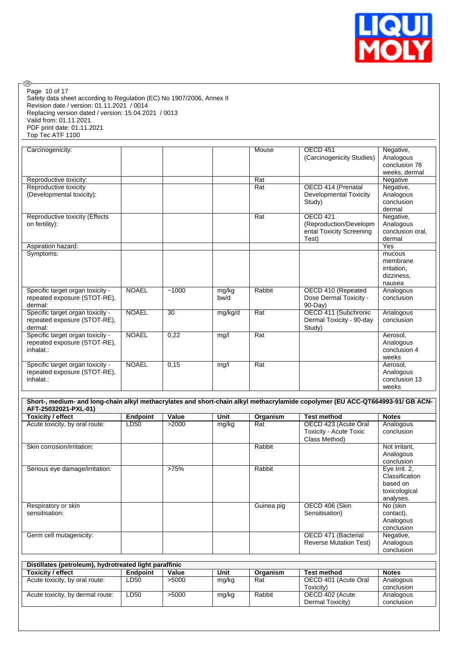

Safety data sheet according to Regulation (EC) No 1907/2006, Annex II Revision date / version: 01.11.2021 / 0014 Replacing version dated / version: 15.04.2021 / 0013 Valid from: 01.11.2021 PDF print date: 01.11.2021 Top Tec ATF 1100 Page 10 of 17

 $\circledcirc$ 

| Carcinogenicity:                                                              |              |       |               | Mouse  | OECD 451<br>(Carcinogenicity Studies)                                          | Negative,<br>Analogous                                    |
|-------------------------------------------------------------------------------|--------------|-------|---------------|--------|--------------------------------------------------------------------------------|-----------------------------------------------------------|
|                                                                               |              |       |               |        |                                                                                | conclusion 78<br>weeks, dermal                            |
| Reproductive toxicity:                                                        |              |       |               | Rat    |                                                                                | Negative                                                  |
| Reproductive toxicity<br>(Developmental toxicity):                            |              |       |               | Rat    | OECD 414 (Prenatal<br><b>Developmental Toxicity</b><br>Study)                  | Negative,<br>Analogous<br>conclusion<br>dermal            |
| Reproductive toxicity (Effects<br>on fertility):                              |              |       |               | Rat    | <b>OECD 421</b><br>(Reproduction/Developm<br>ental Toxicity Screening<br>Test) | Negative,<br>Analogous<br>conclusion oral,<br>dermal      |
| Aspiration hazard:                                                            |              |       |               |        |                                                                                | Yes                                                       |
| Symptoms:                                                                     |              |       |               |        |                                                                                | mucous<br>membrane<br>irritation,<br>dizziness,<br>nausea |
| Specific target organ toxicity -<br>repeated exposure (STOT-RE),<br>dermal:   | <b>NOAEL</b> | ~1000 | mg/kg<br>bw/d | Rabbit | OECD 410 (Repeated<br>Dose Dermal Toxicity -<br>90-Day)                        | Analogous<br>conclusion                                   |
| Specific target organ toxicity -<br>repeated exposure (STOT-RE),<br>dermal:   | <b>NOAEL</b> | 30    | mg/kg/d       | Rat    | OECD 411 (Subchronic<br>Dermal Toxicity - 90-day<br>Study)                     | Analogous<br>conclusion                                   |
| Specific target organ toxicity -<br>repeated exposure (STOT-RE).<br>inhalat.: | <b>NOAEL</b> | 0,22  | mg/l          | Rat    |                                                                                | Aerosol,<br>Analogous<br>conclusion 4<br>weeks            |
| Specific target organ toxicity -<br>repeated exposure (STOT-RE).<br>inhalat.: | <b>NOAEL</b> | 0,15  | mg/l          | Rat    |                                                                                | Aerosol,<br>Analogous<br>conclusion 13<br>weeks           |

| Short-, medium- and long-chain alkyl methacrylates and short-chain alkyl methacrylamide copolymer (EU ACC-QT664993-91/ GB ACN-<br>AFT-25032021-PXL-01) |                 |       |       |            |                                                                 |                                                                           |
|--------------------------------------------------------------------------------------------------------------------------------------------------------|-----------------|-------|-------|------------|-----------------------------------------------------------------|---------------------------------------------------------------------------|
| Toxicity / effect                                                                                                                                      | <b>Endpoint</b> | Value | Unit  | Organism   | <b>Test method</b>                                              | <b>Notes</b>                                                              |
| Acute toxicity, by oral route:                                                                                                                         | LD50            | >2000 | mg/kg | Rat        | OECD 423 (Acute Oral<br>Toxicity - Acute Toxic<br>Class Method) | Analogous<br>conclusion                                                   |
| Skin corrosion/irritation:                                                                                                                             |                 |       |       | Rabbit     |                                                                 | Not irritant,<br>Analogous<br>conclusion                                  |
| Serious eye damage/irritation:                                                                                                                         |                 | >75%  |       | Rabbit     |                                                                 | Eye Irrit. 2,<br>Classification<br>based on<br>toxicological<br>analyses. |
| Respiratory or skin<br>sensitisation:                                                                                                                  |                 |       |       | Guinea pig | OECD 406 (Skin<br>Sensitisation)                                | No (skin<br>contact),<br>Analogous<br>conclusion                          |
| Germ cell mutagenicity:                                                                                                                                |                 |       |       |            | OECD 471 (Bacterial<br><b>Reverse Mutation Test)</b>            | Negative,<br>Analogous<br>conclusion                                      |

| Distillates (petroleum), hydrotreated light paraffinic |                 |       |       |          |                      |              |
|--------------------------------------------------------|-----------------|-------|-------|----------|----------------------|--------------|
| <b>Toxicity / effect</b>                               | <b>Endpoint</b> | Value | Unit  | Organism | <b>Test method</b>   | <b>Notes</b> |
| Acute toxicity, by oral route:                         | LD50            | >5000 | mg/kg | Rat      | OECD 401 (Acute Oral | Analogous    |
|                                                        |                 |       |       |          | Toxicity)            | conclusion   |
| Acute toxicity, by dermal route:                       | LD50            | >5000 | mg/kg | Rabbit   | OECD 402 (Acute      | Analogous    |
|                                                        |                 |       |       |          | Dermal Toxicity)     | conclusion   |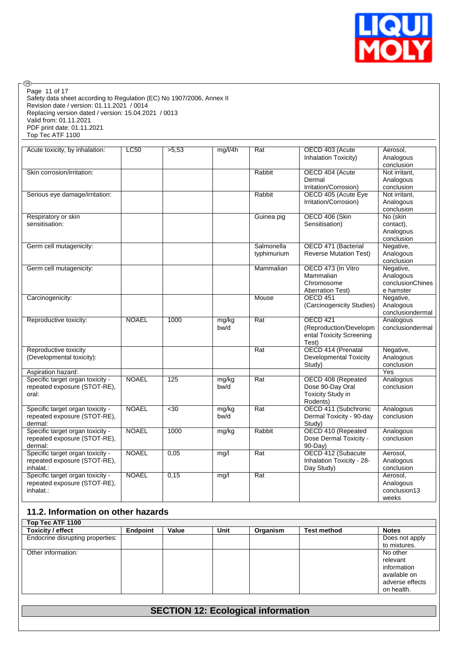

Safety data sheet according to Regulation (EC) No 1907/2006, Annex II Revision date / version: 01.11.2021 / 0014 Replacing version dated / version: 15.04.2021 / 0013 Valid from: 01.11.2021 PDF print date: 01.11.2021 Top Tec ATF 1100 Page 11 of 17

 $\circledcirc$ 

| Acute toxicity, by inhalation:   | LC50         | >5.53 | mg/l/4h | Rat         | OECD 403 (Acute               | Aerosol,         |
|----------------------------------|--------------|-------|---------|-------------|-------------------------------|------------------|
|                                  |              |       |         |             | Inhalation Toxicity)          | Analogous        |
|                                  |              |       |         |             |                               | conclusion       |
| Skin corrosion/irritation:       |              |       |         | Rabbit      | OECD 404 (Acute               | Not irritant,    |
|                                  |              |       |         |             | Dermal                        | Analogous        |
|                                  |              |       |         |             | Irritation/Corrosion)         | conclusion       |
|                                  |              |       |         |             |                               |                  |
| Serious eye damage/irritation:   |              |       |         | Rabbit      | OECD 405 (Acute Eye           | Not irritant,    |
|                                  |              |       |         |             | Irritation/Corrosion)         | Analogous        |
|                                  |              |       |         |             |                               | conclusion       |
| Respiratory or skin              |              |       |         | Guinea pig  | OECD 406 (Skin                | No (skin         |
| sensitisation:                   |              |       |         |             | Sensitisation)                | contact).        |
|                                  |              |       |         |             |                               | Analogous        |
|                                  |              |       |         |             |                               | conclusion       |
| Germ cell mutagenicity:          |              |       |         | Salmonella  | OECD 471 (Bacterial           | Negative,        |
|                                  |              |       |         |             | <b>Reverse Mutation Test)</b> |                  |
|                                  |              |       |         | typhimurium |                               | Analogous        |
|                                  |              |       |         |             |                               | conclusion       |
| Germ cell mutagenicity:          |              |       |         | Mammalian   | OECD 473 (In Vitro            | Negative,        |
|                                  |              |       |         |             | Mammalian                     | Analogous        |
|                                  |              |       |         |             | Chromosome                    | conclusionChines |
|                                  |              |       |         |             | <b>Aberration Test)</b>       | e hamster        |
| Carcinogenicity:                 |              |       |         | Mouse       | OECD 451                      | Negative,        |
|                                  |              |       |         |             | (Carcinogenicity Studies)     | Analogous        |
|                                  |              |       |         |             |                               |                  |
|                                  |              |       |         |             |                               | conclusiondermal |
| Reproductive toxicity:           | <b>NOAEL</b> | 1000  | mg/kg   | Rat         | <b>OECD 421</b>               | Analogous        |
|                                  |              |       | bw/d    |             | (Reproduction/Developm        | conclusiondermal |
|                                  |              |       |         |             | ental Toxicity Screening      |                  |
|                                  |              |       |         |             | Test)                         |                  |
| Reproductive toxicity            |              |       |         | Rat         | OECD 414 (Prenatal            | Negative,        |
| (Developmental toxicity):        |              |       |         |             | <b>Developmental Toxicity</b> | Analogous        |
|                                  |              |       |         |             | Study)                        | conclusion       |
| Aspiration hazard:               |              |       |         |             |                               | Yes              |
|                                  |              |       |         |             |                               |                  |
| Specific target organ toxicity - | <b>NOAEL</b> | 125   | mg/kg   | Rat         | OECD 408 (Repeated            | Analogous        |
| repeated exposure (STOT-RE),     |              |       | bw/d    |             | Dose 90-Day Oral              | conclusion       |
| oral:                            |              |       |         |             | Toxicity Study in             |                  |
|                                  |              |       |         |             | Rodents)                      |                  |
| Specific target organ toxicity - | <b>NOAEL</b> | $30$  | mg/kg   | Rat         | OECD 411 (Subchronic          | Analogous        |
| repeated exposure (STOT-RE),     |              |       | bw/d    |             | Dermal Toxicity - 90-day      | conclusion       |
| dermal:                          |              |       |         |             | Study)                        |                  |
| Specific target organ toxicity - | <b>NOAEL</b> | 1000  | mg/kg   | Rabbit      | OECD 410 (Repeated            | Analogous        |
| repeated exposure (STOT-RE),     |              |       |         |             |                               | conclusion       |
|                                  |              |       |         |             | Dose Dermal Toxicity -        |                  |
| dermal:                          |              |       |         |             | 90-Day)                       |                  |
| Specific target organ toxicity - | <b>NOAEL</b> | 0,05  | mg/l    | Rat         | OECD 412 (Subacute            | Aerosol,         |
| repeated exposure (STOT-RE),     |              |       |         |             | Inhalation Toxicity - 28-     | Analogous        |
| inhalat.:                        |              |       |         |             | Day Study)                    | conclusion       |
| Specific target organ toxicity - | <b>NOAEL</b> | 0,15  | mg/l    | Rat         |                               | Aerosol,         |
| repeated exposure (STOT-RE),     |              |       |         |             |                               | Analogous        |
| inhalat.:                        |              |       |         |             |                               | conclusion13     |
|                                  |              |       |         |             |                               | weeks            |
|                                  |              |       |         |             |                               |                  |

#### **11.2. Information on other hazards**

| <b>Toxicity / effect</b>         | <b>Endpoint</b> | Value | Unit | Organism | <b>Test method</b> | <b>Notes</b>    |
|----------------------------------|-----------------|-------|------|----------|--------------------|-----------------|
| Endocrine disrupting properties: |                 |       |      |          |                    | Does not apply  |
|                                  |                 |       |      |          |                    | to mixtures.    |
| Other information:               |                 |       |      |          |                    | No other        |
|                                  |                 |       |      |          |                    | relevant        |
|                                  |                 |       |      |          |                    | information     |
|                                  |                 |       |      |          |                    | available on    |
|                                  |                 |       |      |          |                    | adverse effects |
|                                  |                 |       |      |          |                    | on health.      |

### **SECTION 12: Ecological information**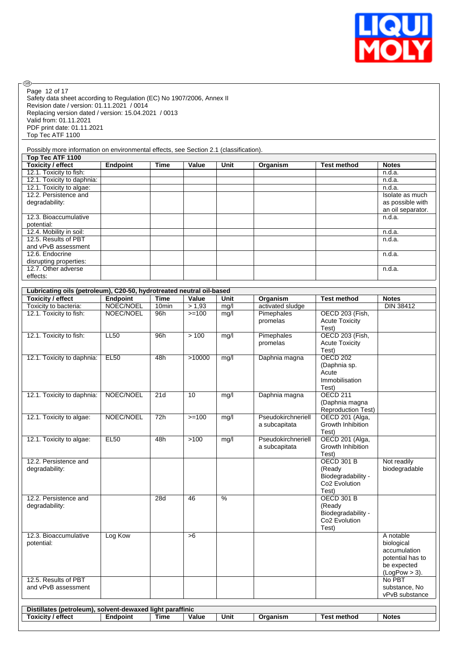

| Page 12 of 17                                                                                                       |                 |                   |                 |      |                        |                                          |                                 |
|---------------------------------------------------------------------------------------------------------------------|-----------------|-------------------|-----------------|------|------------------------|------------------------------------------|---------------------------------|
| Safety data sheet according to Regulation (EC) No 1907/2006, Annex II<br>Revision date / version: 01.11.2021 / 0014 |                 |                   |                 |      |                        |                                          |                                 |
| Replacing version dated / version: 15.04.2021 / 0013                                                                |                 |                   |                 |      |                        |                                          |                                 |
| Valid from: 01.11.2021                                                                                              |                 |                   |                 |      |                        |                                          |                                 |
| PDF print date: 01.11.2021<br>Top Tec ATF 1100                                                                      |                 |                   |                 |      |                        |                                          |                                 |
|                                                                                                                     |                 |                   |                 |      |                        |                                          |                                 |
| Possibly more information on environmental effects, see Section 2.1 (classification).                               |                 |                   |                 |      |                        |                                          |                                 |
| Top Tec ATF 1100<br><b>Toxicity / effect</b>                                                                        | Endpoint        | <b>Time</b>       | Value           | Unit | Organism               | <b>Test method</b>                       | <b>Notes</b>                    |
| 12.1. Toxicity to fish:                                                                                             |                 |                   |                 |      |                        |                                          | n.d.a.                          |
| 12.1. Toxicity to daphnia:                                                                                          |                 |                   |                 |      |                        |                                          | n.d.a.                          |
| 12.1. Toxicity to algae:<br>12.2. Persistence and                                                                   |                 |                   |                 |      |                        |                                          | n.d.a.<br>Isolate as much       |
| degradability:                                                                                                      |                 |                   |                 |      |                        |                                          | as possible with                |
| 12.3. Bioaccumulative                                                                                               |                 |                   |                 |      |                        |                                          | an oil separator.<br>n.d.a.     |
| potential:                                                                                                          |                 |                   |                 |      |                        |                                          |                                 |
| 12.4. Mobility in soil:<br>12.5. Results of PBT                                                                     |                 |                   |                 |      |                        |                                          | n.d.a.<br>n.d.a.                |
| and vPvB assessment                                                                                                 |                 |                   |                 |      |                        |                                          |                                 |
| 12.6. Endocrine                                                                                                     |                 |                   |                 |      |                        |                                          | n.d.a.                          |
| disrupting properties:<br>12.7. Other adverse                                                                       |                 |                   |                 |      |                        |                                          | n.d.a.                          |
| effects:                                                                                                            |                 |                   |                 |      |                        |                                          |                                 |
|                                                                                                                     |                 |                   |                 |      |                        |                                          |                                 |
| Lubricating oils (petroleum), C20-50, hydrotreated neutral oil-based<br><b>Toxicity / effect</b>                    | <b>Endpoint</b> | Time              | Value           | Unit | Organism               | <b>Test method</b>                       | <b>Notes</b>                    |
| Toxicity to bacteria:                                                                                               | NOEC/NOEL       | 10 <sub>min</sub> | > 1,93          | mg/l | activated sludge       |                                          | <b>DIN 38412</b>                |
| 12.1. Toxicity to fish:                                                                                             | NOEC/NOEL       | 96h               | $>=100$         | mg/l | Pimephales<br>promelas | OECD 203 (Fish,<br><b>Acute Toxicity</b> |                                 |
|                                                                                                                     |                 |                   |                 |      |                        | Test)                                    |                                 |
| 12.1. Toxicity to fish:                                                                                             | LL50            | 96h               | > 100           | mg/l | Pimephales<br>promelas | <b>OECD 203 (Fish,</b>                   |                                 |
|                                                                                                                     |                 |                   |                 |      |                        | <b>Acute Toxicity</b><br>Test)           |                                 |
| 12.1. Toxicity to daphnia:                                                                                          | <b>EL50</b>     | 48h               | >10000          | mg/l | Daphnia magna          | <b>OECD 202</b>                          |                                 |
|                                                                                                                     |                 |                   |                 |      |                        | (Daphnia sp.<br>Acute                    |                                 |
|                                                                                                                     |                 |                   |                 |      |                        | Immobilisation                           |                                 |
| 12.1. Toxicity to daphnia:                                                                                          | NOEC/NOEL       | $\overline{21d}$  | $\overline{10}$ | mq/l | Daphnia magna          | Test)<br><b>OECD 211</b>                 |                                 |
|                                                                                                                     |                 |                   |                 |      |                        | (Daphnia magna                           |                                 |
| 12.1. Toxicity to algae:                                                                                            | NOEC/NOEL       | 72h               | $>=100$         |      | Pseudokirchneriell     | Reproduction Test)                       |                                 |
|                                                                                                                     |                 |                   |                 | mg/l | a subcapitata          | OECD 201 (Alga,<br>Growth Inhibition     |                                 |
|                                                                                                                     |                 |                   |                 |      |                        | Test)                                    |                                 |
| 12.1. Toxicity to algae:                                                                                            | <b>EL50</b>     | 48h               | >100            | mg/l | Pseudokirchneriell     | OECD 201 (Alga,<br>Growth Inhibition     |                                 |
|                                                                                                                     |                 |                   |                 |      | a subcapitata          | Test)                                    |                                 |
| 12.2. Persistence and                                                                                               |                 |                   |                 |      |                        | <b>OECD 301 B</b>                        | Not readily                     |
| degradability:                                                                                                      |                 |                   |                 |      |                        | (Ready<br>Biodegradability -             | biodegradable                   |
|                                                                                                                     |                 |                   |                 |      |                        | Co <sub>2</sub> Evolution                |                                 |
|                                                                                                                     |                 |                   |                 |      |                        | Test)                                    |                                 |
| 12.2. Persistence and<br>degradability:                                                                             |                 | 28d               | 46              | $\%$ |                        | <b>OECD 301 B</b><br>(Ready              |                                 |
|                                                                                                                     |                 |                   |                 |      |                        | Biodegradability -                       |                                 |
|                                                                                                                     |                 |                   |                 |      |                        | Co2 Evolution                            |                                 |
| 12.3. Bioaccumulative                                                                                               | Log Kow         |                   | >6              |      |                        | Test)                                    | A notable                       |
| potential:                                                                                                          |                 |                   |                 |      |                        |                                          | biological                      |
|                                                                                                                     |                 |                   |                 |      |                        |                                          | accumulation                    |
|                                                                                                                     |                 |                   |                 |      |                        |                                          | potential has to<br>be expected |
|                                                                                                                     |                 |                   |                 |      |                        |                                          | $(LogPow > 3)$ .                |
| 12.5. Results of PBT<br>and vPvB assessment                                                                         |                 |                   |                 |      |                        |                                          | No PBT                          |
|                                                                                                                     |                 |                   |                 |      |                        |                                          | substance, No<br>vPvB substance |
| Distillates (petroleum), solvent-dewaxed light paraffinic                                                           |                 |                   |                 |      |                        |                                          |                                 |
| <b>Toxicity / effect</b>                                                                                            | <b>Endpoint</b> | <b>Time</b>       | Value           | Unit | Organism               | <b>Test method</b>                       | <b>Notes</b>                    |
|                                                                                                                     |                 |                   |                 |      |                        |                                          |                                 |

- ®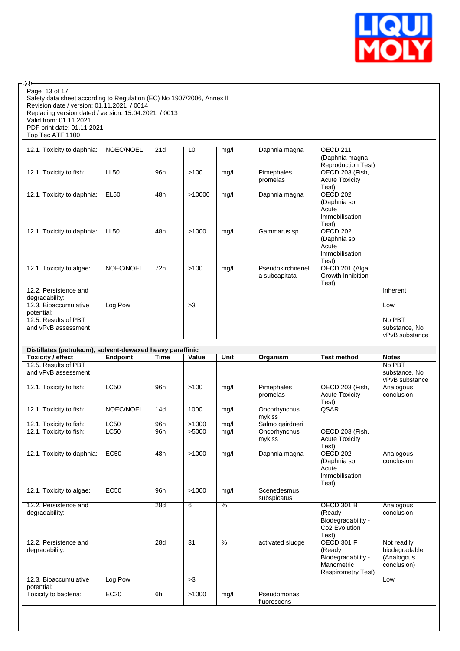

| Page 13 of 17<br>Safety data sheet according to Regulation (EC) No 1907/2006, Annex II<br>Revision date / version: 01.11.2021 / 0014<br>Replacing version dated / version: 15.04.2021 / 0013<br>Valid from: 01.11.2021<br>PDF print date: 01.11.2021<br>Top Tec ATF 1100 |             |             |                          |               |                                     |                                                                                              |                                                           |
|--------------------------------------------------------------------------------------------------------------------------------------------------------------------------------------------------------------------------------------------------------------------------|-------------|-------------|--------------------------|---------------|-------------------------------------|----------------------------------------------------------------------------------------------|-----------------------------------------------------------|
| 12.1. Toxicity to daphnia:                                                                                                                                                                                                                                               | NOEC/NOEL   | 21d         | 10                       | mg/l          | Daphnia magna                       | OECD <sub>211</sub><br>(Daphnia magna<br><b>Reproduction Test)</b>                           |                                                           |
| 12.1. Toxicity to fish:                                                                                                                                                                                                                                                  | <b>LL50</b> | 96h         | >100                     | mg/l          | Pimephales<br>promelas              | OECD 203 (Fish,<br><b>Acute Toxicity</b><br>Test)                                            |                                                           |
| 12.1. Toxicity to daphnia:                                                                                                                                                                                                                                               | <b>EL50</b> | 48h         | >10000                   | mg/l          | Daphnia magna                       | <b>OECD 202</b><br>(Daphnia sp.<br>Acute<br>Immobilisation<br>Test)                          |                                                           |
| 12.1. Toxicity to daphnia:                                                                                                                                                                                                                                               | <b>LL50</b> | 48h         | >1000                    | mg/l          | Gammarus sp.                        | <b>OECD 202</b><br>(Daphnia sp.<br>Acute<br>Immobilisation<br>Test)                          |                                                           |
| 12.1. Toxicity to algae:<br>12.2. Persistence and                                                                                                                                                                                                                        | NOEC/NOEL   | 72h         | >100                     | mg/l          | Pseudokirchneriell<br>a subcapitata | OECD 201 (Alga,<br>Growth Inhibition<br>Test)                                                | Inherent                                                  |
| degradability:                                                                                                                                                                                                                                                           |             |             |                          |               |                                     |                                                                                              |                                                           |
| 12.3. Bioaccumulative<br>potential:                                                                                                                                                                                                                                      | Log Pow     |             | >3                       |               |                                     |                                                                                              | Low                                                       |
| 12.5. Results of PBT<br>and vPvB assessment                                                                                                                                                                                                                              |             |             |                          |               |                                     |                                                                                              | No PBT<br>substance, No<br>vPvB substance                 |
|                                                                                                                                                                                                                                                                          |             |             |                          |               |                                     |                                                                                              |                                                           |
|                                                                                                                                                                                                                                                                          |             |             |                          |               |                                     |                                                                                              |                                                           |
| Distillates (petroleum), solvent-dewaxed heavy paraffinic<br><b>Toxicity / effect</b>                                                                                                                                                                                    | Endpoint    | <b>Time</b> | Value                    | Unit          | Organism                            | <b>Test method</b>                                                                           | <b>Notes</b>                                              |
| 12.5. Results of PBT<br>and vPvB assessment                                                                                                                                                                                                                              |             |             |                          |               |                                     |                                                                                              | No PBT<br>substance, No<br>vPvB substance                 |
| 12.1. Toxicity to fish:                                                                                                                                                                                                                                                  | <b>LC50</b> | 96h         | >100                     | mg/l          | Pimephales<br>promelas              | OECD 203 (Fish,<br><b>Acute Toxicity</b><br>Test)                                            | Analogous<br>conclusion                                   |
| 12.1. Toxicity to fish:                                                                                                                                                                                                                                                  | NOEC/NOEL   | 14d         | 1000                     | mg/l          | Oncorhynchus<br>mykiss              | QSAR                                                                                         |                                                           |
| 12.1. Toxicity to fish:                                                                                                                                                                                                                                                  | LC50        | 96h         | >1000                    | mg/l          | Salmo gairdneri                     |                                                                                              |                                                           |
| 12.1. Toxicity to fish:                                                                                                                                                                                                                                                  | LC50        | 96h         | >5000                    | mg/l          | Oncorhynchus<br>mykiss              | OECD 203 (Fish,<br><b>Acute Toxicity</b><br>Test)                                            |                                                           |
| 12.1. Toxicity to daphnia:                                                                                                                                                                                                                                               | <b>EC50</b> | 48h         | >1000                    | mg/l          | Daphnia magna                       | <b>OECD 202</b><br>(Daphnia sp.<br>Acute<br>Immobilisation<br>Test)                          | Analogous<br>conclusion                                   |
| 12.1. Toxicity to algae:                                                                                                                                                                                                                                                 | <b>EC50</b> | 96h         | >1000                    | mg/l          | Scenedesmus<br>subspicatus          |                                                                                              |                                                           |
| 12.2. Persistence and<br>degradability:                                                                                                                                                                                                                                  |             | 28d         | 6                        | $\frac{0}{6}$ |                                     | <b>OECD 301 B</b><br>(Ready<br>Biodegradability -<br>Co <sub>2</sub> Evolution<br>Test)      | Analogous<br>conclusion                                   |
| 12.2. Persistence and<br>degradability:                                                                                                                                                                                                                                  |             | 28d         | $\overline{31}$          | $\frac{9}{6}$ | activated sludge                    | <b>OECD 301 F</b><br>(Ready<br>Biodegradability -<br>Manometric<br><b>Respirometry Test)</b> | Not readily<br>biodegradable<br>(Analogous<br>conclusion) |
| 12.3. Bioaccumulative                                                                                                                                                                                                                                                    | Log Pow     |             | $\overline{\phantom{0}}$ |               |                                     |                                                                                              | Low                                                       |
| potential:<br>Toxicity to bacteria:                                                                                                                                                                                                                                      | EC20        | 6h          | >1000                    | mg/l          | Pseudomonas                         |                                                                                              |                                                           |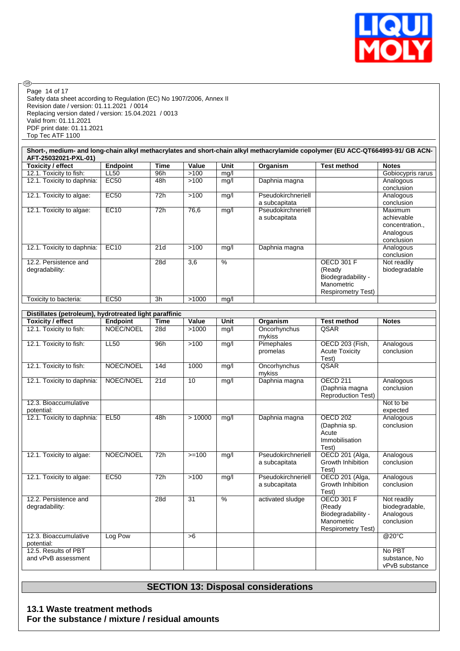

No PBT substance, No vPvB substance

Safety data sheet according to Regulation (EC) No 1907/2006, Annex II Revision date / version: 01.11.2021 / 0014 Replacing version dated / version: 15.04.2021 / 0013 Valid from: 01.11.2021 PDF print date: 01.11.2021 Top Tec ATF 1100 Page 14 of 17

 $\circledcirc$ 

| Short-, medium- and long-chain alkyl methacrylates and short-chain alkyl methacrylamide copolymer (EU ACC-QT664993-91/ GB ACN-<br>AFT-25032021-PXL-01) |                 |                  |                  |                          |                    |                           |                       |
|--------------------------------------------------------------------------------------------------------------------------------------------------------|-----------------|------------------|------------------|--------------------------|--------------------|---------------------------|-----------------------|
| <b>Toxicity / effect</b>                                                                                                                               | <b>Endpoint</b> | <b>Time</b>      | Value            | <b>Unit</b>              | Organism           | <b>Test method</b>        | <b>Notes</b>          |
| 12.1. Toxicity to fish:                                                                                                                                | <b>LL50</b>     | 96h              | >100             | mg/l                     |                    |                           | Gobiocypris rarus     |
| 12.1. Toxicity to daphnia:                                                                                                                             | <b>EC50</b>     | 48h              | >100             | mg/l                     | Daphnia magna      |                           | Analogous             |
|                                                                                                                                                        |                 |                  |                  |                          |                    |                           | conclusion            |
| 12.1. Toxicity to algae:                                                                                                                               | <b>EC50</b>     | $\overline{72h}$ | >100             | mg/l                     | Pseudokirchneriell |                           | Analogous             |
|                                                                                                                                                        |                 |                  |                  |                          | a subcapitata      |                           | conclusion            |
| 12.1. Toxicity to algae:                                                                                                                               | EC10            | 72h              | 76,6             | mg/l                     | Pseudokirchneriell |                           | Maximum               |
|                                                                                                                                                        |                 |                  |                  |                          | a subcapitata      |                           | achievable            |
|                                                                                                                                                        |                 |                  |                  |                          |                    |                           | concentration.,       |
|                                                                                                                                                        |                 |                  |                  |                          |                    |                           | Analogous             |
|                                                                                                                                                        |                 |                  |                  |                          |                    |                           | conclusion            |
| 12.1. Toxicity to daphnia:                                                                                                                             | EC10            | $\overline{21d}$ | >100             | mg/l                     | Daphnia magna      |                           | Analogous             |
|                                                                                                                                                        |                 |                  |                  |                          |                    |                           | conclusion            |
| 12.2. Persistence and                                                                                                                                  |                 | 28d              | $\overline{3,6}$ | $\overline{\frac{9}{6}}$ |                    | <b>OECD 301 F</b>         | Not readily           |
| degradability:                                                                                                                                         |                 |                  |                  |                          |                    | (Ready                    | biodegradable         |
|                                                                                                                                                        |                 |                  |                  |                          |                    | Biodegradability -        |                       |
|                                                                                                                                                        |                 |                  |                  |                          |                    | Manometric                |                       |
|                                                                                                                                                        |                 |                  |                  |                          |                    | <b>Respirometry Test)</b> |                       |
| Toxicity to bacteria:                                                                                                                                  | EC50            | 3h               | >1000            | mg/l                     |                    |                           |                       |
|                                                                                                                                                        |                 |                  |                  |                          |                    |                           |                       |
| Distillates (petroleum), hydrotreated light paraffinic                                                                                                 |                 |                  |                  |                          |                    |                           |                       |
| <b>Toxicity / effect</b>                                                                                                                               | <b>Endpoint</b> | <b>Time</b>      | Value            | <b>Unit</b>              | Organism           | <b>Test method</b>        | <b>Notes</b>          |
| 12.1. Toxicity to fish:                                                                                                                                | NOEC/NOEL       | 28d              | >1000            | mg/l                     | Oncorhynchus       | QSAR                      |                       |
|                                                                                                                                                        |                 |                  |                  |                          | mykiss             |                           |                       |
| 12.1. Toxicity to fish:                                                                                                                                | <b>LL50</b>     | 96h              | $>100$           | mg/l                     | Pimephales         | OECD 203 (Fish,           | Analogous             |
|                                                                                                                                                        |                 |                  |                  |                          | promelas           | <b>Acute Toxicity</b>     | conclusion            |
|                                                                                                                                                        |                 |                  |                  |                          |                    | Test)                     |                       |
| 12.1. Toxicity to fish:                                                                                                                                | NOEC/NOEL       | 14d              | 1000             | mg/l                     | Oncorhynchus       | QSAR                      |                       |
|                                                                                                                                                        |                 |                  |                  |                          | mykiss             |                           |                       |
| 12.1. Toxicity to daphnia:                                                                                                                             | NOEC/NOEL       | 21d              | $\overline{10}$  | mg/l                     | Daphnia magna      | <b>OECD 211</b>           | Analogous             |
|                                                                                                                                                        |                 |                  |                  |                          |                    | (Daphnia magna            | conclusion            |
|                                                                                                                                                        |                 |                  |                  |                          |                    | <b>Reproduction Test)</b> |                       |
| 12.3. Bioaccumulative                                                                                                                                  |                 |                  |                  |                          |                    |                           | Not to be             |
| potential:<br>12.1. Toxicity to daphnia:                                                                                                               | <b>EL50</b>     | 48h              | >10000           |                          |                    | <b>OECD 202</b>           | expected<br>Analogous |
|                                                                                                                                                        |                 |                  |                  | mq/l                     | Daphnia magna      |                           |                       |
|                                                                                                                                                        |                 |                  |                  |                          |                    | (Daphnia sp.<br>Acute     | conclusion            |
|                                                                                                                                                        |                 |                  |                  |                          |                    | Immobilisation            |                       |
|                                                                                                                                                        |                 |                  |                  |                          |                    | Test)                     |                       |
| 12.1. Toxicity to algae:                                                                                                                               | NOEC/NOEL       | 72h              | $>=100$          | mg/l                     | Pseudokirchneriell | OECD 201 (Alga,           | Analogous             |
|                                                                                                                                                        |                 |                  |                  |                          | a subcapitata      | Growth Inhibition         | conclusion            |
|                                                                                                                                                        |                 |                  |                  |                          |                    | Test)                     |                       |
| 12.1. Toxicity to algae:                                                                                                                               | <b>EC50</b>     | 72h              | >100             | mg/l                     | Pseudokirchneriell | OECD 201 (Alga,           | Analogous             |
|                                                                                                                                                        |                 |                  |                  |                          | a subcapitata      | Growth Inhibition         | conclusion            |
|                                                                                                                                                        |                 |                  |                  |                          |                    | Test)                     |                       |
| 12.2. Persistence and                                                                                                                                  |                 | 28d              | 31               | $\frac{9}{6}$            | activated sludge   | <b>OECD 301 F</b>         | Not readily           |
| degradability:                                                                                                                                         |                 |                  |                  |                          |                    | (Ready                    | biodegradable,        |
|                                                                                                                                                        |                 |                  |                  |                          |                    | Biodegradability -        | Analogous             |
|                                                                                                                                                        |                 |                  |                  |                          |                    | Manometric                | conclusion            |
|                                                                                                                                                        |                 |                  |                  |                          |                    | <b>Respirometry Test)</b> |                       |
| 12.3. Bioaccumulative                                                                                                                                  | Log Pow         |                  | >6               |                          |                    |                           | @20°C                 |
| potential:                                                                                                                                             |                 |                  |                  |                          |                    |                           |                       |

### **SECTION 13: Disposal considerations**

**13.1 Waste treatment methods For the substance / mixture / residual amounts**

12.5. Results of PBT and vPvB assessment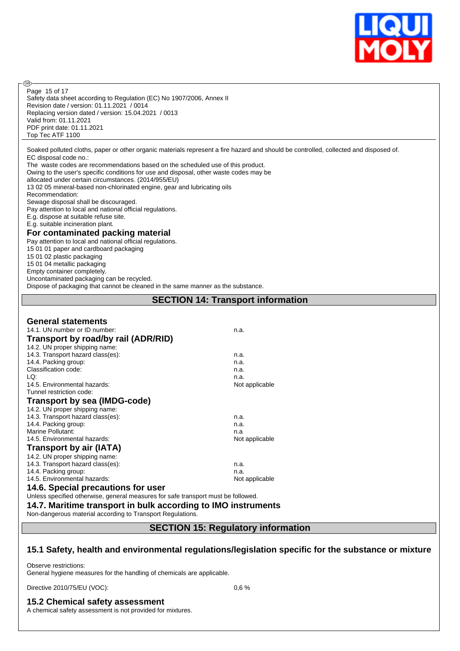

Safety data sheet according to Regulation (EC) No 1907/2006, Annex II Revision date / version: 01.11.2021 / 0014 Replacing version dated / version: 15.04.2021 / 0013 Valid from: 01.11.2021 PDF print date: 01.11.2021 Top Tec ATF 1100 Page 15 of 17

Soaked polluted cloths, paper or other organic materials represent a fire hazard and should be controlled, collected and disposed of. EC disposal code no.:

The waste codes are recommendations based on the scheduled use of this product.

Owing to the user's specific conditions for use and disposal, other waste codes may be

allocated under certain circumstances. (2014/955/EU)

13 02 05 mineral-based non-chlorinated engine, gear and lubricating oils

Recommendation:

**®** 

Sewage disposal shall be discouraged.

Pay attention to local and national official regulations.

E.g. dispose at suitable refuse site.

E.g. suitable incineration plant.

#### **For contaminated packing material**

Pay attention to local and national official regulations. 15 01 01 paper and cardboard packaging 15 01 02 plastic packaging 15 01 04 metallic packaging Empty container completely. Uncontaminated packaging can be recycled. Dispose of packaging that cannot be cleaned in the same manner as the substance.

#### **SECTION 14: Transport information**

| <b>General statements</b>                                                         |                |
|-----------------------------------------------------------------------------------|----------------|
| 14.1. UN number or ID number:                                                     | n.a.           |
| Transport by road/by rail (ADR/RID)                                               |                |
| 14.2. UN proper shipping name:                                                    |                |
| 14.3. Transport hazard class(es):                                                 | n.a.           |
| 14.4. Packing group:                                                              | n.a.           |
| Classification code:                                                              | n.a.           |
| LQ:                                                                               | n.a.           |
| 14.5. Environmental hazards:                                                      | Not applicable |
| Tunnel restriction code:                                                          |                |
| <b>Transport by sea (IMDG-code)</b>                                               |                |
| 14.2. UN proper shipping name:                                                    |                |
| 14.3. Transport hazard class(es):                                                 | n.a.           |
| 14.4. Packing group:                                                              | n.a.           |
| Marine Pollutant:                                                                 | n.a            |
| 14.5. Environmental hazards:                                                      | Not applicable |
| <b>Transport by air (IATA)</b>                                                    |                |
| 14.2. UN proper shipping name:                                                    |                |
| 14.3. Transport hazard class(es):                                                 | n.a.           |
| 14.4. Packing group:                                                              | n.a.           |
| 14.5. Environmental hazards:                                                      | Not applicable |
| 14.6. Special precautions for user                                                |                |
| Unless specified otherwise, general measures for safe transport must be followed. |                |

**14.7. Maritime transport in bulk according to IMO instruments**

Non-dangerous material according to Transport Regulations.

**SECTION 15: Regulatory information**

#### **15.1 Safety, health and environmental regulations/legislation specific for the substance or mixture**

Observe restrictions: General hygiene measures for the handling of chemicals are applicable.

Directive 2010/75/EU (VOC): 0,6 %

**15.2 Chemical safety assessment**

A chemical safety assessment is not provided for mixtures.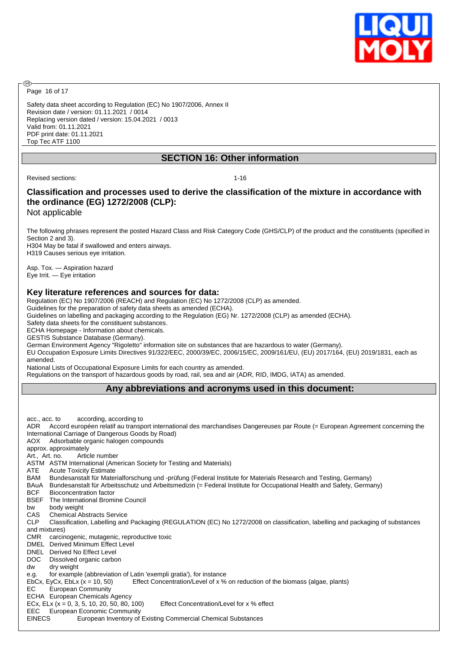

Page 16 of 17

അ

Safety data sheet according to Regulation (EC) No 1907/2006, Annex II Revision date / version: 01.11.2021 / 0014 Replacing version dated / version: 15.04.2021 / 0013 Valid from: 01.11.2021 PDF print date: 01.11.2021 Top Tec ATF 1100

#### **SECTION 16: Other information**

Revised sections: 1-16

### **Classification and processes used to derive the classification of the mixture in accordance with the ordinance (EG) 1272/2008 (CLP):**

Not applicable

The following phrases represent the posted Hazard Class and Risk Category Code (GHS/CLP) of the product and the constituents (specified in Section 2 and 3).

H304 May be fatal if swallowed and enters airways. H319 Causes serious eye irritation.

Asp. Tox. — Aspiration hazard Eye Irrit. — Eye irritation

#### **Key literature references and sources for data:**

Regulation (EC) No 1907/2006 (REACH) and Regulation (EC) No 1272/2008 (CLP) as amended.

Guidelines for the preparation of safety data sheets as amended (ECHA).

Guidelines on labelling and packaging according to the Regulation (EG) Nr. 1272/2008 (CLP) as amended (ECHA).

Safety data sheets for the constituent substances.

ECHA Homepage - Information about chemicals.

GESTIS Substance Database (Germany).

German Environment Agency "Rigoletto" information site on substances that are hazardous to water (Germany).

EU Occupation Exposure Limits Directives 91/322/EEC, 2000/39/EC, 2006/15/EC, 2009/161/EU, (EU) 2017/164, (EU) 2019/1831, each as amended.

National Lists of Occupational Exposure Limits for each country as amended.

Regulations on the transport of hazardous goods by road, rail, sea and air (ADR, RID, IMDG, IATA) as amended.

#### **Any abbreviations and acronyms used in this document:**

acc., acc. to according, according to ADR Accord européen relatif au transport international des marchandises Dangereuses par Route (= European Agreement concerning the International Carriage of Dangerous Goods by Road) AOX Adsorbable organic halogen compounds approx. approximately Art., Art. no. Article number ASTM ASTM International (American Society for Testing and Materials) ATE Acute Toxicity Estimate<br>BAM Bundesanstalt für Mater Bundesanstalt für Materialforschung und -prüfung (Federal Institute for Materials Research and Testing, Germany) BAuA Bundesanstalt für Arbeitsschutz und Arbeitsmedizin (= Federal Institute for Occupational Health and Safety, Germany) BCF Bioconcentration factor BSEF The International Bromine Council bw body weight<br>CAS Chemical Ab Chemical Abstracts Service CLP Classification, Labelling and Packaging (REGULATION (EC) No 1272/2008 on classification, labelling and packaging of substances and mixtures) CMR carcinogenic, mutagenic, reproductive toxic DMEL Derived Minimum Effect Level DNEL Derived No Effect Level DOC Dissolved organic carbon dw dry weight e.g. for example (abbreviation of Latin 'exempli gratia'), for instance EbCx, EyCx, EbLx  $(x = 10, 50)$  Effect Concentration/Level of x % on reduction of the biomass (algae, plants) EC European Community ECHA European Chemicals Agency ECx, ELx ( $x = 0, 3, 5, 10, 20, 50, 80, 100$ ) Effect Concentration/Level for x % effect EEC European Economic Community EINECS European Inventory of Existing Commercial Chemical Substances